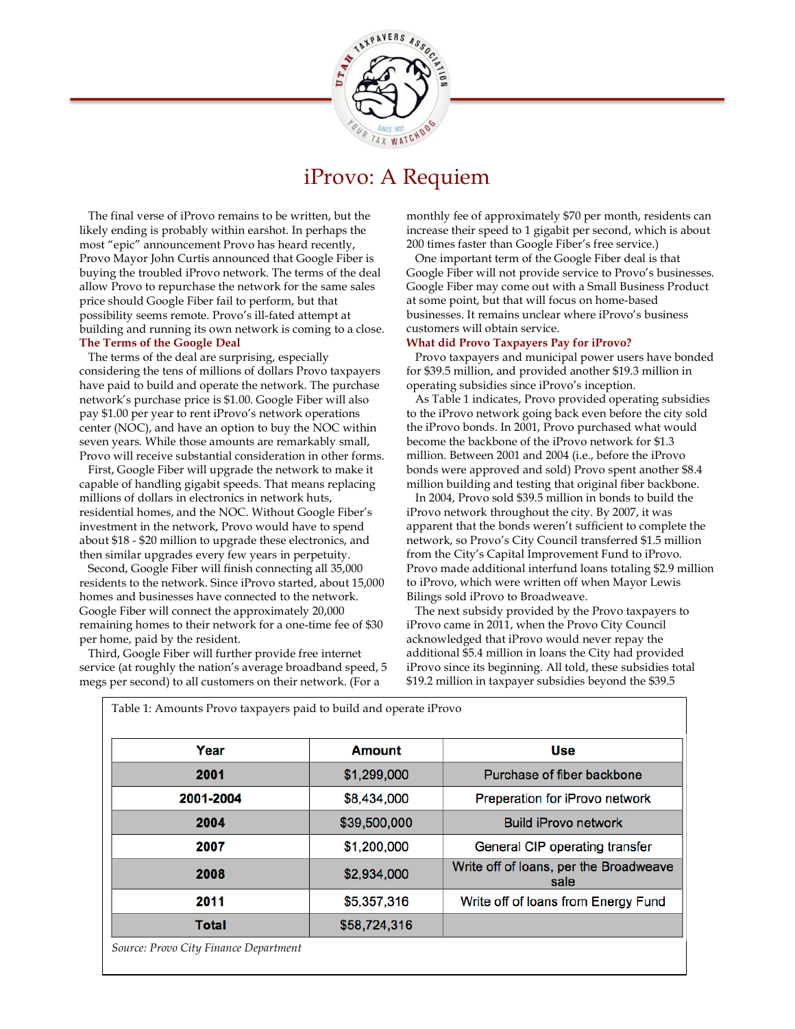

## iProvo: A Requiem

 The final verse of iProvo remains to be written, but the likely ending is probably within earshot. In perhaps the most "epic" announcement Provo has heard recently, Provo Mayor John Curtis announced that Google Fiber is buying the troubled iProvo network. The terms of the deal allow Provo to repurchase the network for the same sales price should Google Fiber fail to perform, but that possibility seems remote. Provo's ill-fated attempt at building and running its own network is coming to a close. **The Terms of the Google Deal**

 The terms of the deal are surprising, especially considering the tens of millions of dollars Provo taxpayers have paid to build and operate the network. The purchase network's purchase price is \$1.00. Google Fiber will also pay \$1.00 per year to rent iProvo's network operations center (NOC), and have an option to buy the NOC within seven years. While those amounts are remarkably small, Provo will receive substantial consideration in other forms.

 First, Google Fiber will upgrade the network to make it capable of handling gigabit speeds. That means replacing millions of dollars in electronics in network huts, residential homes, and the NOC. Without Google Fiber's investment in the network, Provo would have to spend about \$18 - \$20 million to upgrade these electronics, and then similar upgrades every few years in perpetuity.

 Second, Google Fiber will finish connecting all 35,000 residents to the network. Since iProvo started, about 15,000 homes and businesses have connected to the network. Google Fiber will connect the approximately 20,000 remaining homes to their network for a one-time fee of \$30 per home, paid by the resident.

 Third, Google Fiber will further provide free internet service (at roughly the nation's average broadband speed, 5 megs per second) to all customers on their network. (For a

monthly fee of approximately \$70 per month, residents can increase their speed to 1 gigabit per second, which is about 200 times faster than Google Fiber's free service.)

 One important term of the Google Fiber deal is that Google Fiber will not provide service to Provo's businesses. Google Fiber may come out with a Small Business Product at some point, but that will focus on home-based businesses. It remains unclear where iProvo's business customers will obtain service.

## **What did Provo Taxpayers Pay for iProvo?**

 Provo taxpayers and municipal power users have bonded for \$39.5 million, and provided another \$19.3 million in operating subsidies since iProvo's inception.

 As Table 1 indicates, Provo provided operating subsidies to the iProvo network going back even before the city sold the iProvo bonds. In 2001, Provo purchased what would become the backbone of the iProvo network for \$1.3 million. Between 2001 and 2004 (i.e., before the iProvo bonds were approved and sold) Provo spent another \$8.4 million building and testing that original fiber backbone.

 In 2004, Provo sold \$39.5 million in bonds to build the iProvo network throughout the city. By 2007, it was apparent that the bonds weren't sufficient to complete the network, so Provo's City Council transferred \$1.5 million from the City's Capital Improvement Fund to iProvo. Provo made additional interfund loans totaling \$2.9 million to iProvo, which were written off when Mayor Lewis Bilings sold iProvo to Broadweave.

 The next subsidy provided by the Provo taxpayers to iProvo came in 2011, when the Provo City Council acknowledged that iProvo would never repay the additional \$5.4 million in loans the City had provided iProvo since its beginning. All told, these subsidies total \$19.2 million in taxpayer subsidies beyond the \$39.5

| Table 1: Amounts Provo taxpayers paid to build and operate iProvo |               |                                                |
|-------------------------------------------------------------------|---------------|------------------------------------------------|
| Year                                                              | <b>Amount</b> | Use                                            |
| 2001                                                              | \$1,299,000   | Purchase of fiber backbone                     |
| 2001-2004                                                         | \$8,434,000   | Preperation for iProvo network                 |
| 2004                                                              | \$39,500,000  | <b>Build iProvo network</b>                    |
| 2007                                                              | \$1,200,000   | General CIP operating transfer                 |
| 2008                                                              | \$2,934,000   | Write off of loans, per the Broadweave<br>sale |
| 2011                                                              | \$5,357,316   | Write off of loans from Energy Fund            |
| <b>Total</b>                                                      | \$58,724,316  |                                                |
| $c \sim n \sim c$ is $r \sim n \sim l$                            |               |                                                |

*Source: Provo City Finance Department*